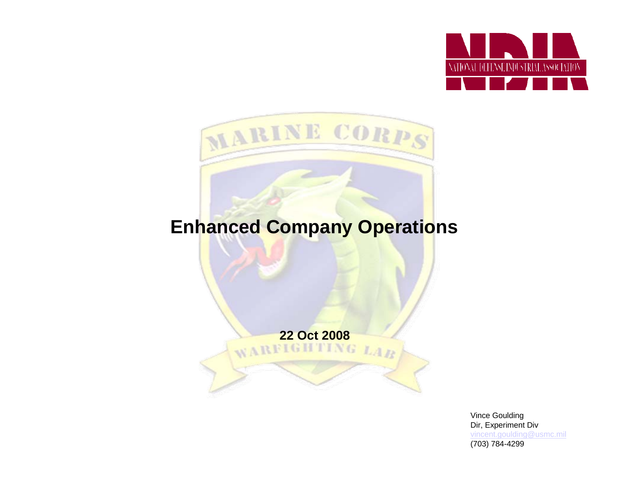



### **Enhanced Company Operations**

**22 Oct 2008**

Vince Goulding Dir, Experiment Div [vincent.goulding@usmc.mil](mailto:vincent.goulding@usmc.mil) (703) 784-4299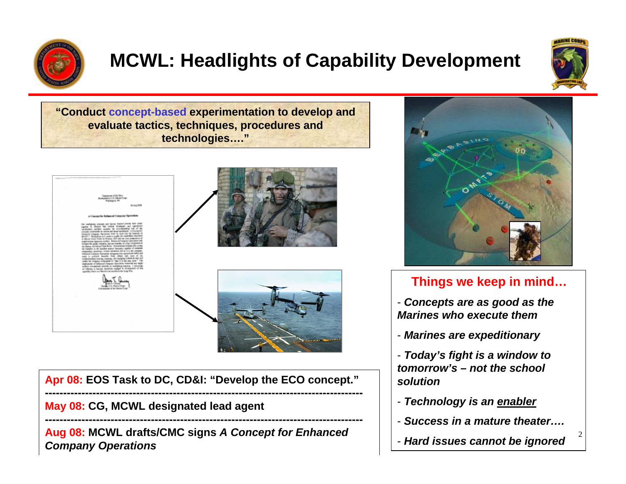

# **MCWL: Headlights of Capability Development**



2

**"Conduct concept-based experimentation to develop and evaluate tactics, techniques, procedures and technologies…."**







**Apr 08: EOS Task to DC, CD&I: "Develop the ECO concept." ---------------------------------------------------------------------------------------**

**May 08: CG, MCWL designated lead agent**

**Aug 08: MCWL drafts/CMC signs** *A Concept for Enhanced Company Operations*

**---------------------------------------------------------------------------------------**



### **Things we keep in mind…**

- *Concepts are as good as the Marines who execute them*
- *Marines are expeditionary*
- *Today's fight is a window to tomorrow's – not the school solution*
- *Technology is an enabler*
- *Success in a mature theater….*
- *Hard issues cannot be ignored*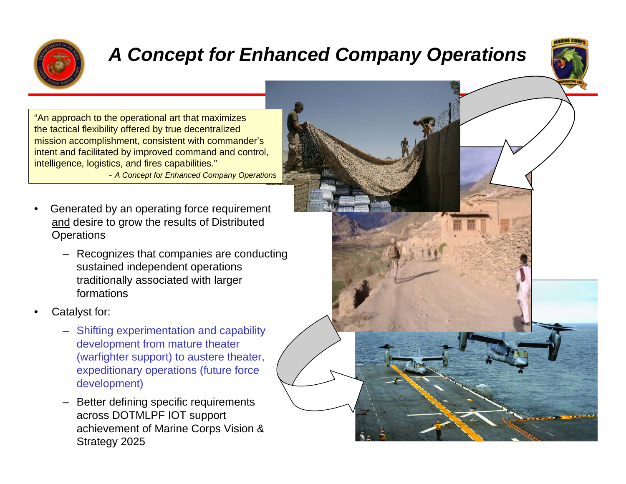

### *A Concept for Enhanced Company Operations*



"An approach to the operational art that maximizes the tactical flexibility offered by true decentralized mission accomplishment, consistent with commander's intent and facilitated by improved command and control, intelligence, logistics, and fires capabilities."

- *A Concept for Enhanced Company Operations*

- Generated by an operating force requirement and desire to grow the results of Distributed **Operations** 
	- Recognizes that companies are conducting sustained independent operations traditionally associated with larger formations
- Catalyst for:
	- Shifting experimentation and capability development from mature theater (warfighter support) to austere theater, expeditionary operations (future force development)
	- Better defining specific requirements across DOTMLPF IOT support achievement of Marine Corps Vision & Strategy 2025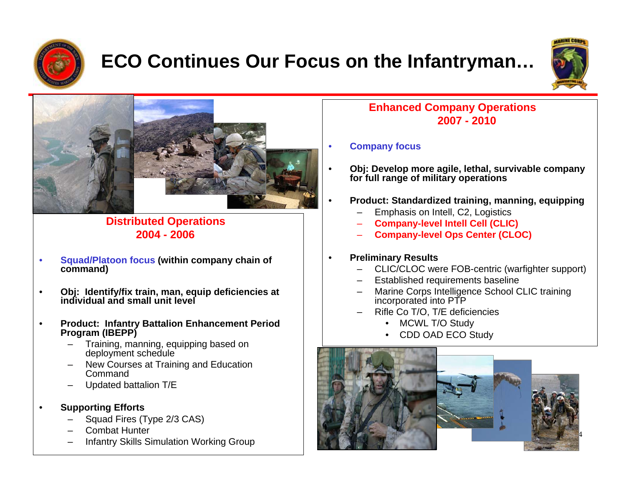

## **ECO Continues Our Focus on the Infantryman…**





#### **Distributed Operations 2004 - 2006**

- **Squad/Platoon focus (within company chain of command)**
- **Obj: Identify/fix train, man, equip deficiencies at individual and small unit level**
- **Product: Infantry Battalion Enhancement Period Program (IBEPP)**
	- Training, manning, equipping based on deployment schedule
	- New Courses at Training and Education Command
	- Updated battalion T/E
- **Supporting Efforts**
	- Squad Fires (Type 2/3 CAS)
	- Combat Hunter
	- Infantry Skills Simulation Working Group

#### **Enhanced Company Operations 2007 - 2010**

#### • **Company focus**

- **Obj: Develop more agile, lethal, survivable company for full range of military operations**
- **Product: Standardized training, manning, equipping**
	- Emphasis on Intell, C2, Logistics
	- **Company-level Intell Cell (CLIC)**
	- **Company-level Ops Center (CLOC)**

#### • **Preliminary Results**

- CLIC/CLOC were FOB-centric (warfighter support)
- Established requirements baseline
- Marine Corps Intelligence School CLIC training incorporated into PTP
- Rifle Co T/O, T/E deficiencies
	- MCWL T/O Study
	- CDD OAD ECO Study





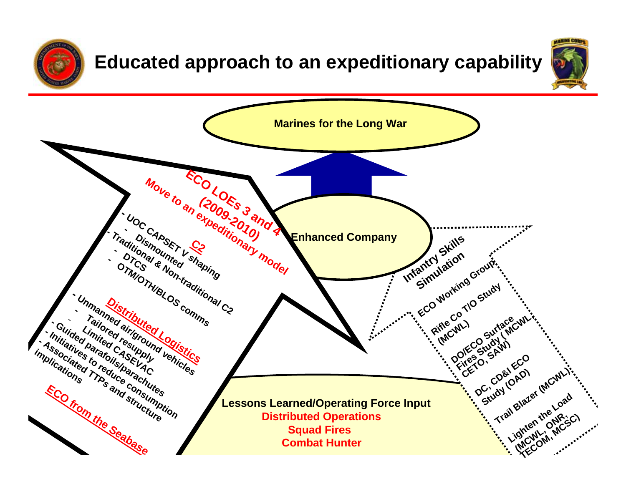

### **Educated approach to an expeditionary capability**



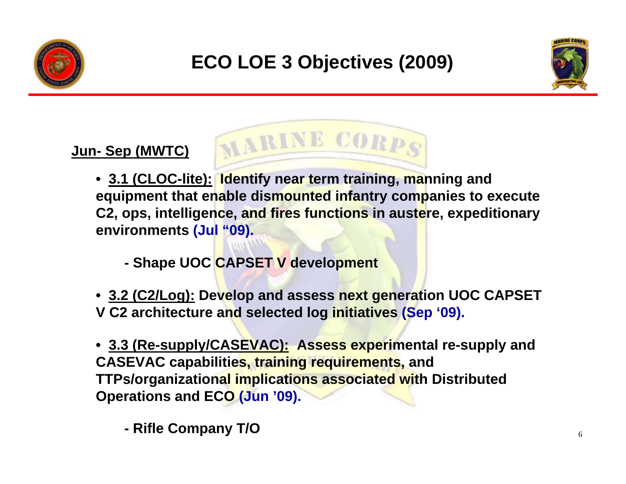





### **Jun- Sep (MWTC)**

- **3.1 (CLOC-lite): Identify near term training, manning and equipment that enable dismounted infantry companies to execute C2, ops, intelligence, and fires functions in austere, expeditionary environments (Jul "09).**
	- **Shape UOC CAPSET V development**
- **3.2 (C2/Log): Develop and assess next generation UOC CAPSET V C2 architecture and selected log initiatives (Sep '09).**
- **3.3 (Re-supply/CASEVAC): Assess experimental re-supply and CASEVAC capabilities, training requirements, and TTPs/organizational implications associated with Distributed Operations and ECO (Jun '09).**
	- **Rifle Company T/O**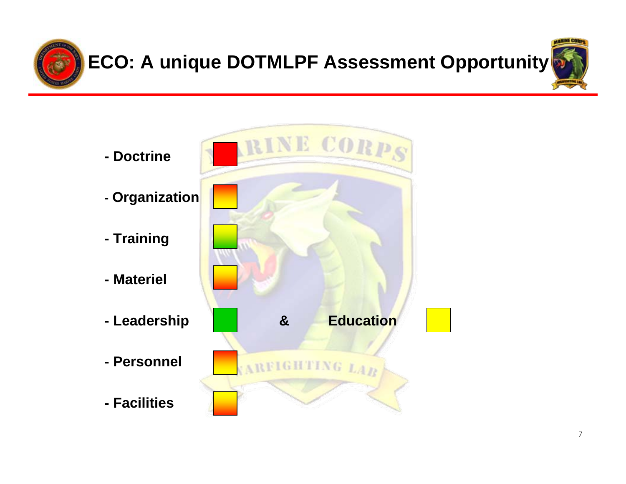

# **ECO: A unique DOTMLPF Assessment Opportunity**



- **- Doctrine**
- **Organization**
- **Training**
- **Materiel**
- 
- **Personnel**
- **Facilities**

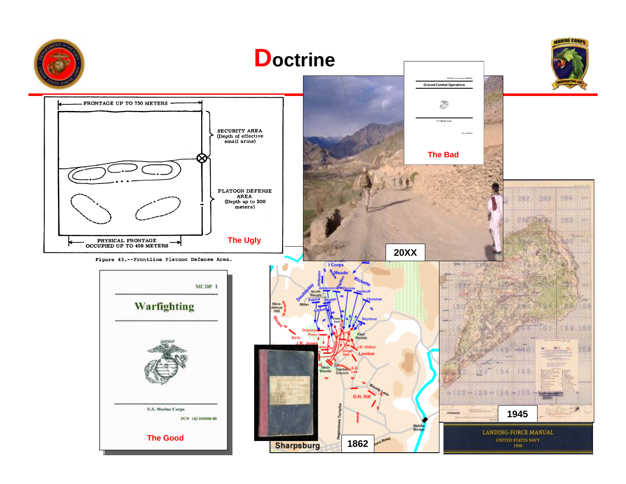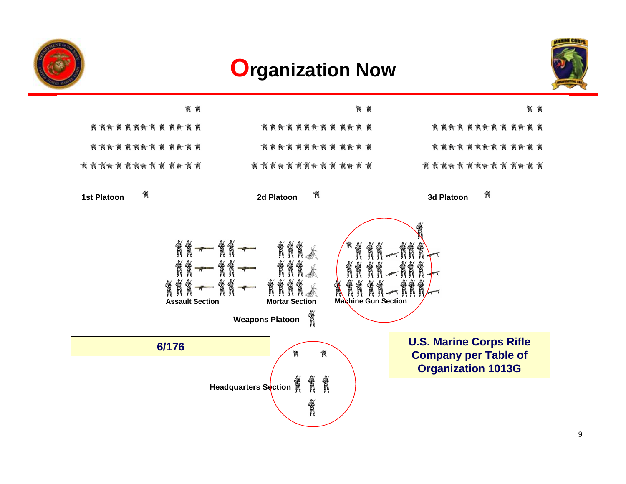

### **Organization Now**



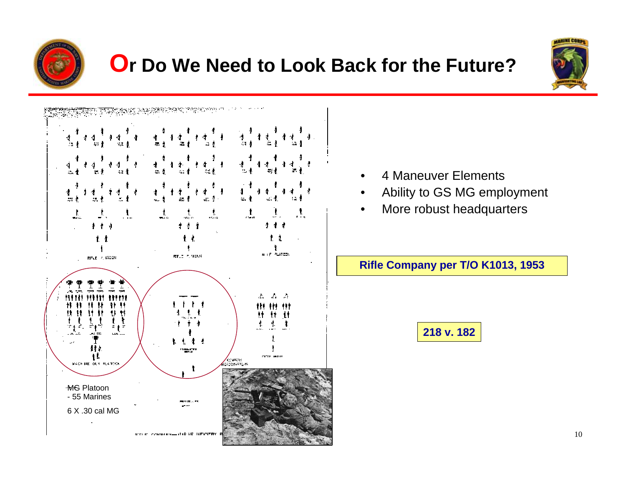

### **Or Do We Need to Look Back for the Future?**



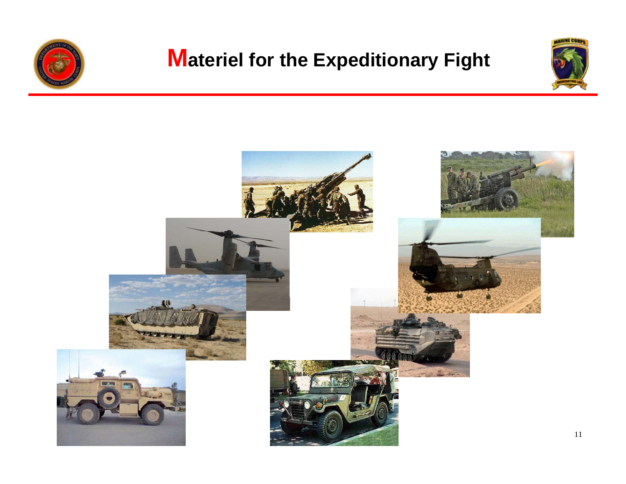

# **Materiel for the Expeditionary Fight**